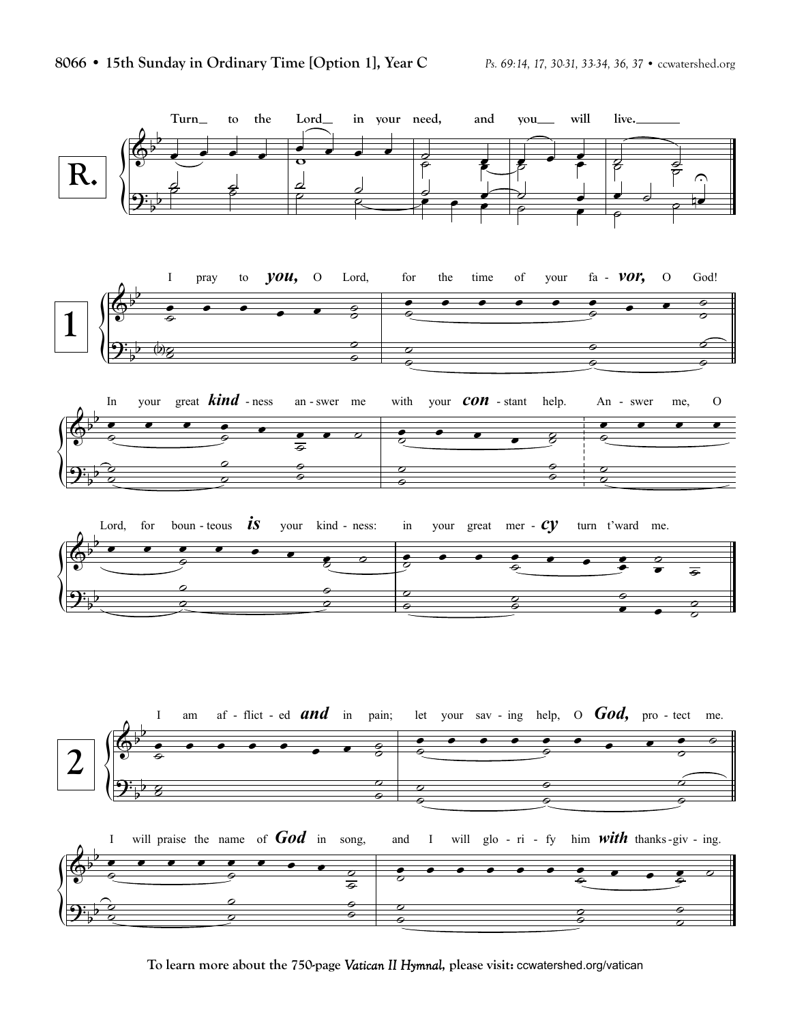

**To learn more about the 750-page** *Vatican II Hymnal***, please visit:** ccwatershed.org/vatican